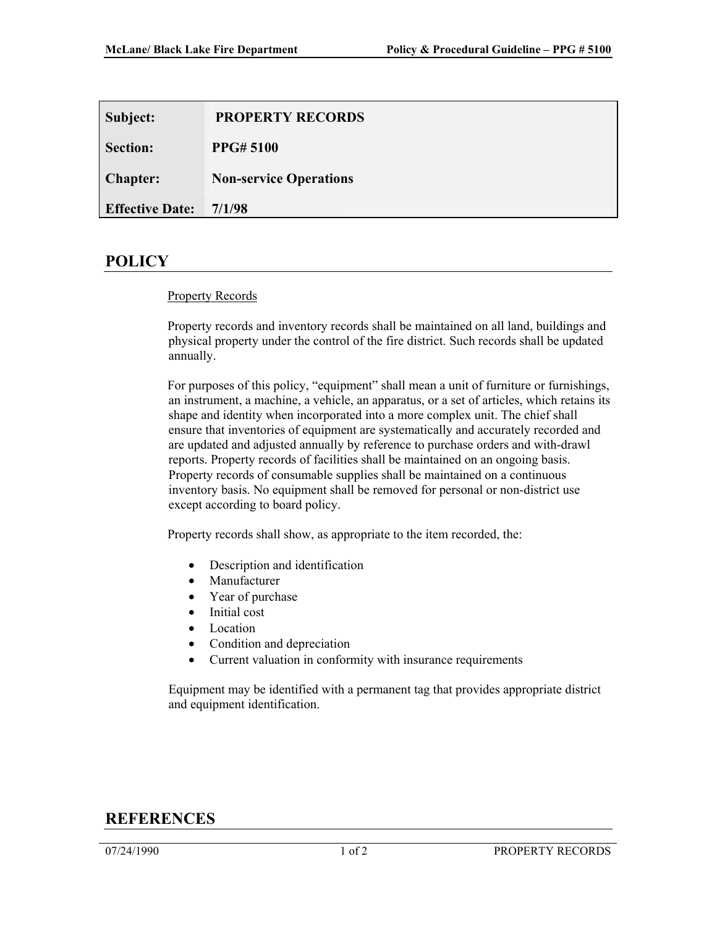| Subject:               | <b>PROPERTY RECORDS</b>       |
|------------------------|-------------------------------|
| <b>Section:</b>        | <b>PPG#5100</b>               |
| <b>Chapter:</b>        | <b>Non-service Operations</b> |
| <b>Effective Date:</b> | 7/1/98                        |

## **POLICY**

## Property Records

Property records and inventory records shall be maintained on all land, buildings and physical property under the control of the fire district. Such records shall be updated annually.

For purposes of this policy, "equipment" shall mean a unit of furniture or furnishings, an instrument, a machine, a vehicle, an apparatus, or a set of articles, which retains its shape and identity when incorporated into a more complex unit. The chief shall ensure that inventories of equipment are systematically and accurately recorded and are updated and adjusted annually by reference to purchase orders and with-drawl reports. Property records of facilities shall be maintained on an ongoing basis. Property records of consumable supplies shall be maintained on a continuous inventory basis. No equipment shall be removed for personal or non-district use except according to board policy.

Property records shall show, as appropriate to the item recorded, the:

- Description and identification
- **Manufacturer**
- Year of purchase
- Initial cost
- Location
- Condition and depreciation
- Current valuation in conformity with insurance requirements

Equipment may be identified with a permanent tag that provides appropriate district and equipment identification.

## **REFERENCES**